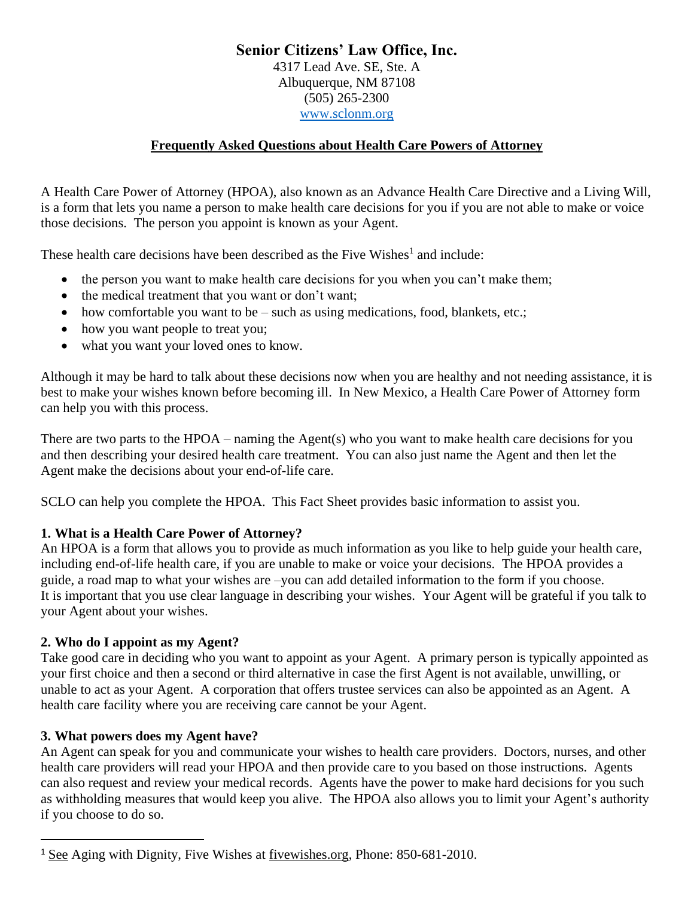# **Senior Citizens' Law Office, Inc.**

4317 Lead Ave. SE, Ste. A Albuquerque, NM 87108 (505) 265-2300 [www.sclonm.org](http://www.sclonm.org/)

### **Frequently Asked Questions about Health Care Powers of Attorney**

A Health Care Power of Attorney (HPOA), also known as an Advance Health Care Directive and a Living Will, is a form that lets you name a person to make health care decisions for you if you are not able to make or voice those decisions. The person you appoint is known as your Agent.

These health care decisions have been described as the Five Wishes<sup>1</sup> and include:

- the person you want to make health care decisions for you when you can't make them;
- the medical treatment that you want or don't want;
- $\bullet$  how comfortable you want to be such as using medications, food, blankets, etc.;
- how you want people to treat you;
- what you want your loved ones to know.

Although it may be hard to talk about these decisions now when you are healthy and not needing assistance, it is best to make your wishes known before becoming ill. In New Mexico, a Health Care Power of Attorney form can help you with this process.

There are two parts to the HPOA – naming the Agent(s) who you want to make health care decisions for you and then describing your desired health care treatment. You can also just name the Agent and then let the Agent make the decisions about your end-of-life care.

SCLO can help you complete the HPOA. This Fact Sheet provides basic information to assist you.

## **1. What is a Health Care Power of Attorney?**

An HPOA is a form that allows you to provide as much information as you like to help guide your health care, including end-of-life health care, if you are unable to make or voice your decisions. The HPOA provides a guide, a road map to what your wishes are –you can add detailed information to the form if you choose. It is important that you use clear language in describing your wishes. Your Agent will be grateful if you talk to your Agent about your wishes.

#### **2. Who do I appoint as my Agent?**

Take good care in deciding who you want to appoint as your Agent. A primary person is typically appointed as your first choice and then a second or third alternative in case the first Agent is not available, unwilling, or unable to act as your Agent. A corporation that offers trustee services can also be appointed as an Agent. A health care facility where you are receiving care cannot be your Agent.

#### **3. What powers does my Agent have?**

 $\overline{a}$ 

An Agent can speak for you and communicate your wishes to health care providers. Doctors, nurses, and other health care providers will read your HPOA and then provide care to you based on those instructions. Agents can also request and review your medical records. Agents have the power to make hard decisions for you such as withholding measures that would keep you alive. The HPOA also allows you to limit your Agent's authority if you choose to do so.

<sup>&</sup>lt;sup>1</sup> See Aging with Dignity, Five Wishes at fivewishes.org, Phone:  $850-681-2010$ .